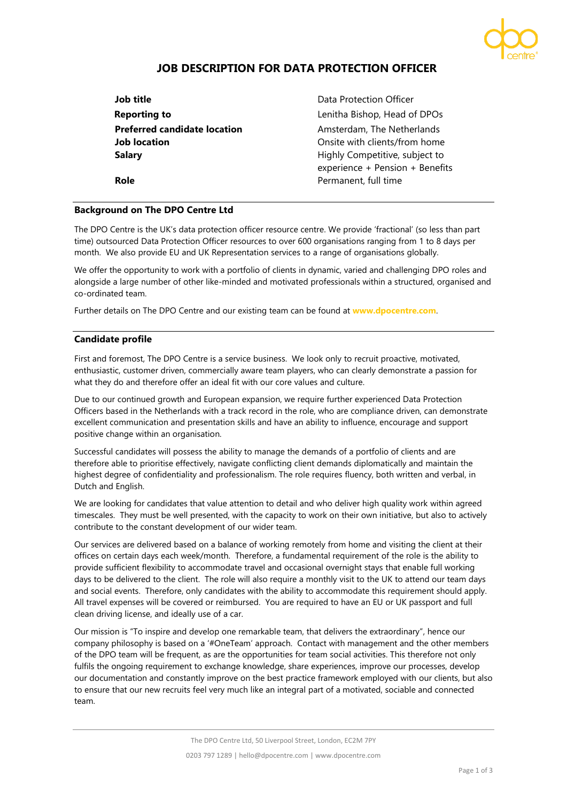

# **JOB DESCRIPTION FOR DATA PROTECTION OFFICER**

**Job title Data Protection Officer Reporting to** Lenitha Bishop, Head of DPOs **Preferred candidate location Amsterdam, The Netherlands Job location Construction Construction Onsite with clients/from home Salary Salary Example 20** Highly Competitive, subject to

experience + Pension + Benefits **Role Role Permanent**, full time

## **Background on The DPO Centre Ltd**

The DPO Centre is the UK's data protection officer resource centre. We provide 'fractional' (so less than part time) outsourced Data Protection Officer resources to over 600 organisations ranging from 1 to 8 days per month. We also provide EU and UK Representation services to a range of organisations globally.

We offer the opportunity to work with a portfolio of clients in dynamic, varied and challenging DPO roles and alongside a large number of other like-minded and motivated professionals within a structured, organised and co-ordinated team.

Further details on The DPO Centre and our existing team can be found at **[www.dpocentre.com](http://www.dpocentre.com/)**.

## **Candidate profile**

First and foremost, The DPO Centre is a service business. We look only to recruit proactive, motivated, enthusiastic, customer driven, commercially aware team players, who can clearly demonstrate a passion for what they do and therefore offer an ideal fit with our core values and culture.

Due to our continued growth and European expansion, we require further experienced Data Protection Officers based in the Netherlands with a track record in the role, who are compliance driven, can demonstrate excellent communication and presentation skills and have an ability to influence, encourage and support positive change within an organisation.

Successful candidates will possess the ability to manage the demands of a portfolio of clients and are therefore able to prioritise effectively, navigate conflicting client demands diplomatically and maintain the highest degree of confidentiality and professionalism. The role requires fluency, both written and verbal, in Dutch and English.

We are looking for candidates that value attention to detail and who deliver high quality work within agreed timescales. They must be well presented, with the capacity to work on their own initiative, but also to actively contribute to the constant development of our wider team.

Our services are delivered based on a balance of working remotely from home and visiting the client at their offices on certain days each week/month. Therefore, a fundamental requirement of the role is the ability to provide sufficient flexibility to accommodate travel and occasional overnight stays that enable full working days to be delivered to the client. The role will also require a monthly visit to the UK to attend our team days and social events. Therefore, only candidates with the ability to accommodate this requirement should apply. All travel expenses will be covered or reimbursed. You are required to have an EU or UK passport and full clean driving license, and ideally use of a car.

Our mission is "To inspire and develop one remarkable team, that delivers the extraordinary", hence our company philosophy is based on a '#OneTeam' approach. Contact with management and the other members of the DPO team will be frequent, as are the opportunities for team social activities. This therefore not only fulfils the ongoing requirement to exchange knowledge, share experiences, improve our processes, develop our documentation and constantly improve on the best practice framework employed with our clients, but also to ensure that our new recruits feel very much like an integral part of a motivated, sociable and connected team.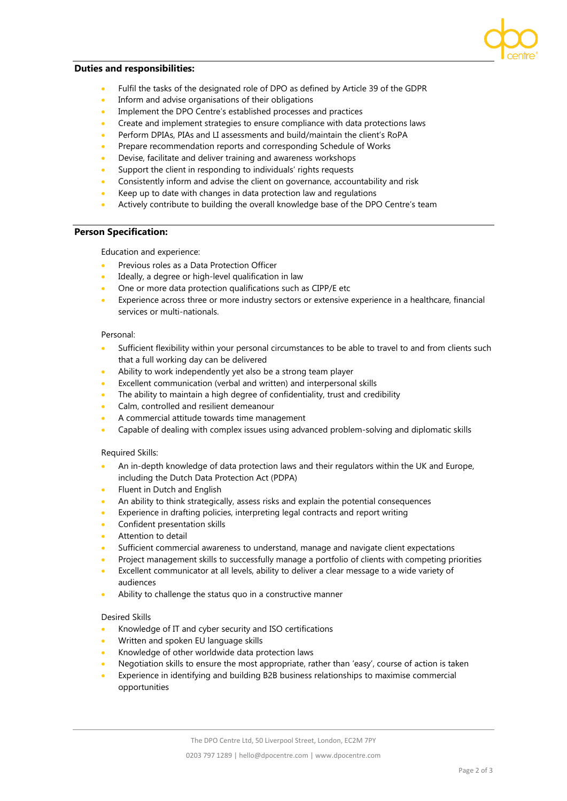

### **Duties and responsibilities:**

- Fulfil the tasks of the designated role of DPO as defined by Article 39 of the GDPR
- Inform and advise organisations of their obligations
- Implement the DPO Centre's established processes and practices
- Create and implement strategies to ensure compliance with data protections laws
- Perform DPIAs, PIAs and LI assessments and build/maintain the client's RoPA
- Prepare recommendation reports and corresponding Schedule of Works
- Devise, facilitate and deliver training and awareness workshops
- Support the client in responding to individuals' rights requests
- Consistently inform and advise the client on governance, accountability and risk
- Keep up to date with changes in data protection law and regulations
- Actively contribute to building the overall knowledge base of the DPO Centre's team

#### **Person Specification:**

Education and experience:

- Previous roles as a Data Protection Officer
- Ideally, a degree or high-level qualification in law
- One or more data protection qualifications such as CIPP/E etc
- Experience across three or more industry sectors or extensive experience in a healthcare, financial services or multi-nationals.

#### Personal:

- Sufficient flexibility within your personal circumstances to be able to travel to and from clients such that a full working day can be delivered
- Ability to work independently yet also be a strong team player
- Excellent communication (verbal and written) and interpersonal skills
- The ability to maintain a high degree of confidentiality, trust and credibility
- Calm, controlled and resilient demeanour
- A commercial attitude towards time management
- Capable of dealing with complex issues using advanced problem-solving and diplomatic skills

#### Required Skills:

- An in-depth knowledge of data protection laws and their regulators within the UK and Europe, including the Dutch Data Protection Act (PDPA)
- Fluent in Dutch and English
- An ability to think strategically, assess risks and explain the potential consequences
- Experience in drafting policies, interpreting legal contracts and report writing
- Confident presentation skills
- Attention to detail
- Sufficient commercial awareness to understand, manage and navigate client expectations
- Project management skills to successfully manage a portfolio of clients with competing priorities
- Excellent communicator at all levels, ability to deliver a clear message to a wide variety of audiences
- Ability to challenge the status quo in a constructive manner

#### Desired Skills

- Knowledge of IT and cyber security and ISO certifications
- Written and spoken EU language skills
- Knowledge of other worldwide data protection laws
- Negotiation skills to ensure the most appropriate, rather than 'easy', course of action is taken
- Experience in identifying and building B2B business relationships to maximise commercial opportunities